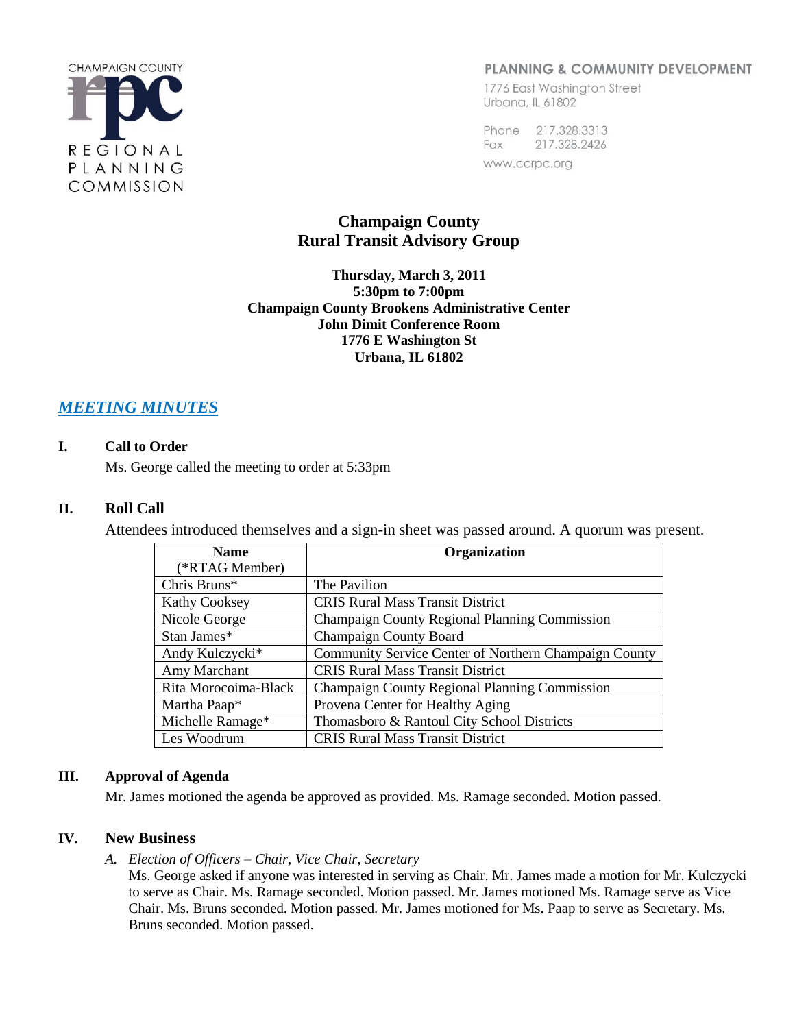

# PLANNING & COMMUNITY DEVELOPMENT

1776 East Washington Street Urbana, IL 61802

Phone 217.328.3313 Fax 217.328.2426 www.ccrpc.org

# **Champaign County Rural Transit Advisory Group**

**Thursday, March 3, 2011 5:30pm to 7:00pm Champaign County Brookens Administrative Center John Dimit Conference Room 1776 E Washington St Urbana, IL 61802**

# *MEETING MINUTES*

# **I. Call to Order**

Ms. George called the meeting to order at 5:33pm

# **II. Roll Call**

Attendees introduced themselves and a sign-in sheet was passed around. A quorum was present.

| <b>Name</b>          | <b>Organization</b>                                   |
|----------------------|-------------------------------------------------------|
| (*RTAG Member)       |                                                       |
| Chris Bruns*         | The Pavilion                                          |
| <b>Kathy Cooksey</b> | <b>CRIS Rural Mass Transit District</b>               |
| Nicole George        | Champaign County Regional Planning Commission         |
| Stan James*          | <b>Champaign County Board</b>                         |
| Andy Kulczycki*      | Community Service Center of Northern Champaign County |
| Amy Marchant         | <b>CRIS Rural Mass Transit District</b>               |
| Rita Morocoima-Black | Champaign County Regional Planning Commission         |
| Martha Paap*         | Provena Center for Healthy Aging                      |
| Michelle Ramage*     | Thomasboro & Rantoul City School Districts            |
| Les Woodrum          | <b>CRIS Rural Mass Transit District</b>               |

## **III. Approval of Agenda**

Mr. James motioned the agenda be approved as provided. Ms. Ramage seconded. Motion passed.

## **IV. New Business**

*A. Election of Officers – Chair, Vice Chair, Secretary*

Ms. George asked if anyone was interested in serving as Chair. Mr. James made a motion for Mr. Kulczycki to serve as Chair. Ms. Ramage seconded. Motion passed. Mr. James motioned Ms. Ramage serve as Vice Chair. Ms. Bruns seconded. Motion passed. Mr. James motioned for Ms. Paap to serve as Secretary. Ms. Bruns seconded. Motion passed.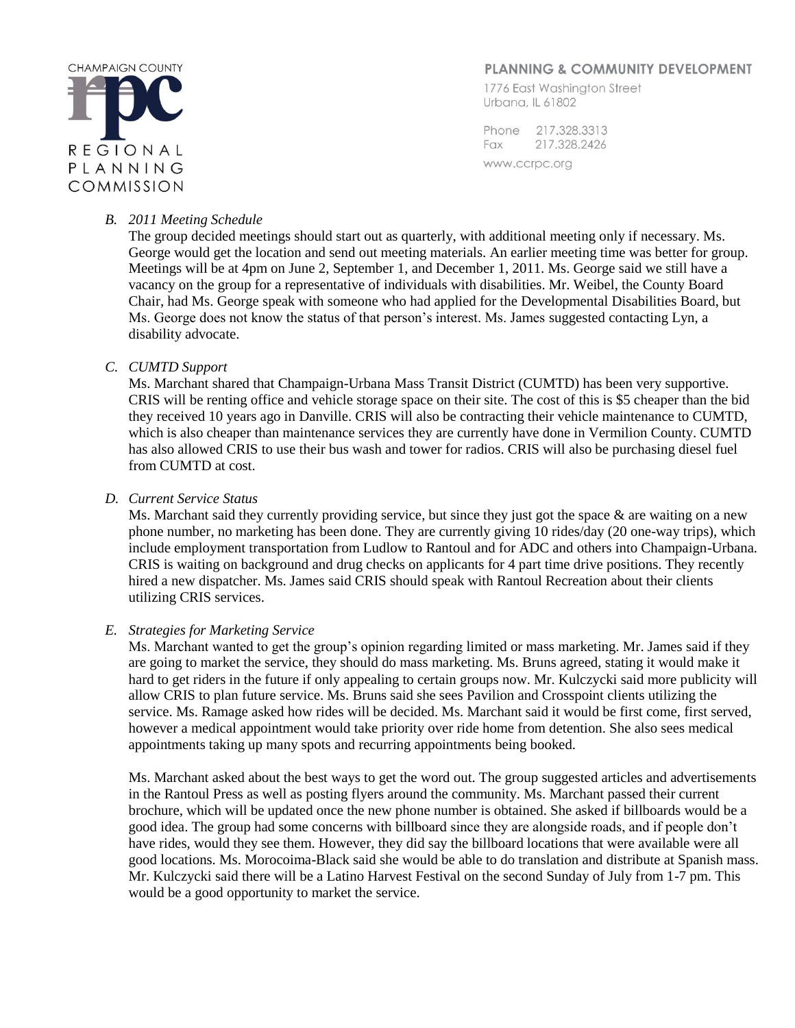

## PLANNING & COMMUNITY DEVELOPMENT

1776 East Washington Street Urbana, IL 61802

Phone 217,328,3313 217.328.2426 Fax www.ccrpc.org

#### *B. 2011 Meeting Schedule*

The group decided meetings should start out as quarterly, with additional meeting only if necessary. Ms. George would get the location and send out meeting materials. An earlier meeting time was better for group. Meetings will be at 4pm on June 2, September 1, and December 1, 2011. Ms. George said we still have a vacancy on the group for a representative of individuals with disabilities. Mr. Weibel, the County Board Chair, had Ms. George speak with someone who had applied for the Developmental Disabilities Board, but Ms. George does not know the status of that person's interest. Ms. James suggested contacting Lyn, a disability advocate.

## *C. CUMTD Support*

Ms. Marchant shared that Champaign-Urbana Mass Transit District (CUMTD) has been very supportive. CRIS will be renting office and vehicle storage space on their site. The cost of this is \$5 cheaper than the bid they received 10 years ago in Danville. CRIS will also be contracting their vehicle maintenance to CUMTD, which is also cheaper than maintenance services they are currently have done in Vermilion County. CUMTD has also allowed CRIS to use their bus wash and tower for radios. CRIS will also be purchasing diesel fuel from CUMTD at cost.

#### *D. Current Service Status*

Ms. Marchant said they currently providing service, but since they just got the space & are waiting on a new phone number, no marketing has been done. They are currently giving 10 rides/day (20 one-way trips), which include employment transportation from Ludlow to Rantoul and for ADC and others into Champaign-Urbana. CRIS is waiting on background and drug checks on applicants for 4 part time drive positions. They recently hired a new dispatcher. Ms. James said CRIS should speak with Rantoul Recreation about their clients utilizing CRIS services.

#### *E. Strategies for Marketing Service*

Ms. Marchant wanted to get the group's opinion regarding limited or mass marketing. Mr. James said if they are going to market the service, they should do mass marketing. Ms. Bruns agreed, stating it would make it hard to get riders in the future if only appealing to certain groups now. Mr. Kulczycki said more publicity will allow CRIS to plan future service. Ms. Bruns said she sees Pavilion and Crosspoint clients utilizing the service. Ms. Ramage asked how rides will be decided. Ms. Marchant said it would be first come, first served, however a medical appointment would take priority over ride home from detention. She also sees medical appointments taking up many spots and recurring appointments being booked.

Ms. Marchant asked about the best ways to get the word out. The group suggested articles and advertisements in the Rantoul Press as well as posting flyers around the community. Ms. Marchant passed their current brochure, which will be updated once the new phone number is obtained. She asked if billboards would be a good idea. The group had some concerns with billboard since they are alongside roads, and if people don't have rides, would they see them. However, they did say the billboard locations that were available were all good locations. Ms. Morocoima-Black said she would be able to do translation and distribute at Spanish mass. Mr. Kulczycki said there will be a Latino Harvest Festival on the second Sunday of July from 1-7 pm. This would be a good opportunity to market the service.